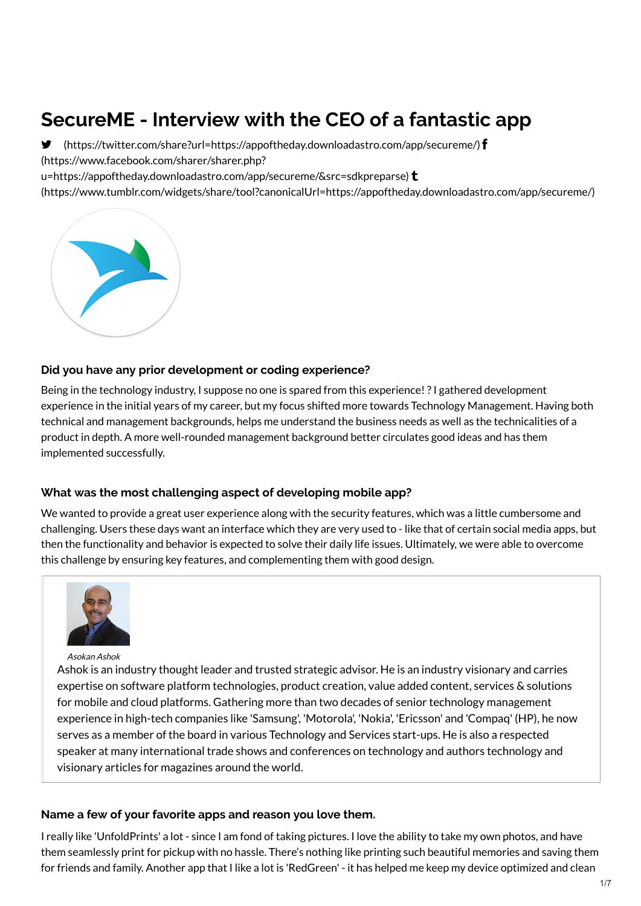# **SecureME - Interview with the CEO of a fantastic app**

 [\(https://twitter.com/share?url=https://appoftheday.downloadastro.com/app/secureme/](https://twitter.com/share?url=https://appoftheday.downloadastro.com/app/secureme/)[\)](https://www.facebook.com/sharer/sharer.php?u=https://appoftheday.downloadastro.com/app/secureme/&src=sdkpreparse) (https://www.facebook.com/sharer/sharer.php? u=https://appoftheday.downloadastro.com/app/secureme/&src=sdkpreparse)  $t$ 

[\(https://www.tumblr.com/widgets/share/tool?canonicalUrl=https://appoftheday.downloadastro.com/app/secureme/\)](https://www.tumblr.com/widgets/share/tool?canonicalUrl=https://appoftheday.downloadastro.com/app/secureme/)



#### **Did you have any prior development or coding experience?**

Being in the technology industry, I suppose no one is spared from this experience!?I gathered development experience in the initial years of my career, but my focus shifted more towards Technology Management. Having both technical and management backgrounds, helps me understand the business needs as well as the technicalities of a product in depth. A more well-rounded management background better circulates good ideas and has them implemented successfully.

#### **What was the most challenging aspect of developing mobile app?**

We wanted to provide a great user experience along with the security features, which was a little cumbersome and challenging. Users these days want an interface which they are very used to - like that of certain social media apps, but then the functionality and behavior is expected to solve their daily life issues. Ultimately, we were able to overcome this challenge by ensuring key features, and complementing them with good design.



Asokan Ashok

Ashok is an industry thought leader and trusted strategic advisor. He is an industry visionary and carries expertise on software platform technologies, product creation, value added content, services & solutions for mobile and cloud platforms. Gathering more than two decades of senior technology management experience in high-tech companies like 'Samsung', 'Motorola', 'Nokia', 'Ericsson' and 'Compaq' (HP), he now serves as a member of the board in various Technology and Services start-ups. He is also a respected speaker at many international trade shows and conferences on technology and authors technology and visionary articles for magazines around the world.

#### **Name a few of your favorite apps and reason you love them.**

I really like 'UnfoldPrints' a lot - since I am fond of taking pictures. I love the ability to take my own photos, and have them seamlessly print for pickup with no hassle. There's nothing like printing such beautiful memories and saving them for friends and family. Another app that I like a lot is 'RedGreen' - it has helped me keep my device optimized and clean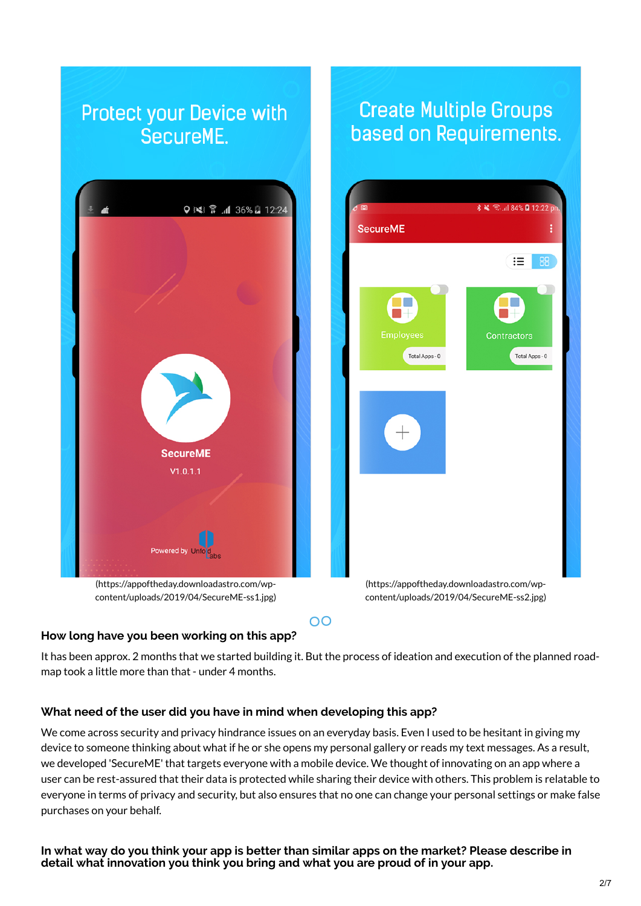

## **How long have you been working on this app?**

It has been approx. 2 months that we started building it. But the process of ideation and execution of the planned roadmap took a little more than that - under 4 months.

### **What need of the user did you have in mind when developing this app?**

We come across security and privacy hindrance issues on an everyday basis. Even I used to be hesitant in giving my device to someone thinking about what if he or she opens my personal gallery or reads my text messages. As a result, we developed 'SecureME' that targets everyone with a mobile device. We thought of innovating on an app where a user can be rest-assured that their data is protected while sharing their device with others. This problem is relatable to everyone in terms of privacy and security, but also ensures that no one can change your personal settings or make false purchases on your behalf.

In what way do you think your app is better than similar apps on the market? Please describe in **detail what innovation you think you bring and what you are proud of in your app.**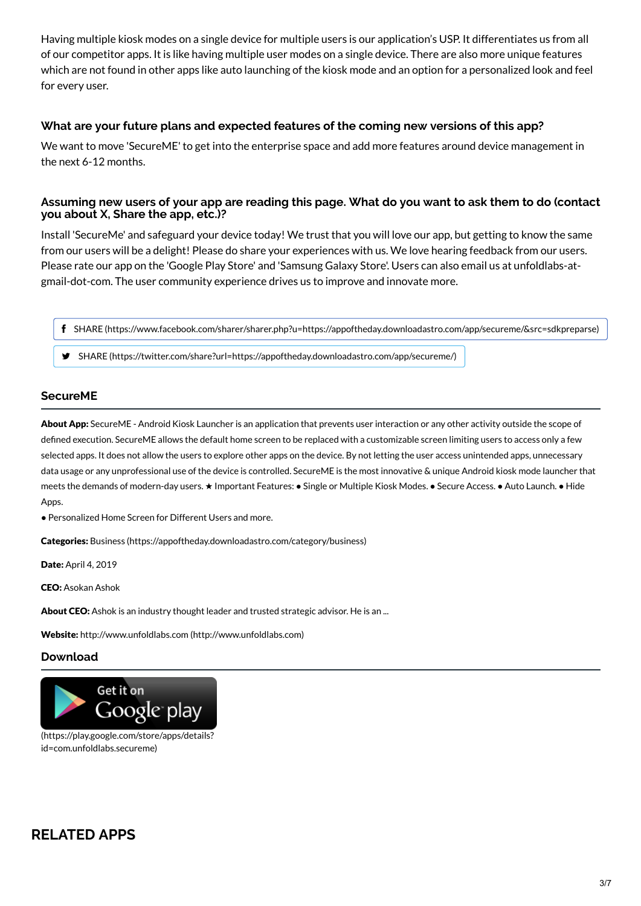Having multiple kiosk modes on a single device for multiple users is our application's USP. It differentiates us from all of our competitor apps. It is like having multiple user modes on a single device. There are also more unique features which are not found in other apps like auto launching of the kiosk mode and an option for a personalized look and feel for every user.

#### **What are your future plans and expected features of the coming new versions of this app?**

We want to move 'SecureME' to get into the enterprise space and add more features around device management in the next 6-12 months.

#### Assuming new users of your app are reading this page. What do you want to ask them to do (contact **you about X, Share the app, etc.)?**

Install 'SecureMe' and safeguard your device today! We trust that you will love our app, but getting to know the same from our users will be a delight! Please do share your experiences with us. We love hearing feedback from our users. Please rate our app on the 'Google Play Store' and 'Samsung Galaxy Store'. Users can also email us at unfoldlabs-atgmail-dot-com. The user community experience drives us to improve and innovate more.

SHARE [\(https://www.facebook.com/sharer/sharer.php?u=https://appoftheday.downloadastro.com/app/secureme/&src=sdkpreparse\)](https://www.facebook.com/sharer/sharer.php?u=https://appoftheday.downloadastro.com/app/secureme/&src=sdkpreparse)

SHARE [\(https://twitter.com/share?url=https://appoftheday.downloadastro.com/app/secureme/\)](https://twitter.com/share?url=https://appoftheday.downloadastro.com/app/secureme/)

#### **SecureME**

About App: SecureME - Android Kiosk Launcher is an application that prevents user interaction or any other activity outside the scope of defined execution. SecureME allows the default home screen to be replaced with a customizable screen limiting users to access only a few selected apps. It does not allow the users to explore other apps on the device. By not letting the user access unintended apps, unnecessary data usage or any unprofessional use of the device is controlled. SecureME is the most innovative & unique Android kiosk mode launcher that meets the demands of modern-day users. ★ Important Features: ● Single or Multiple Kiosk Modes. ● Secure Access. ● Auto Launch. ● Hide Apps.

● Personalized Home Screen for Different Users and more.

Categories: Business [\(https://appoftheday.downloadastro.com/category/business\)](https://appoftheday.downloadastro.com/category/business)

Date: April 4, 2019

CEO: Asokan Ashok

About CEO: Ashok is an industry thought leader and trusted strategic advisor. He is an ...

Website: http://www.unfoldlabs.com [\(http://www.unfoldlabs.com\)](http://www.unfoldlabs.com/)

#### **Download**



[\(https://play.google.com/store/apps/details?](https://play.google.com/store/apps/details?id=com.unfoldlabs.secureme) id=com.unfoldlabs.secureme)

# **RELATED APPS**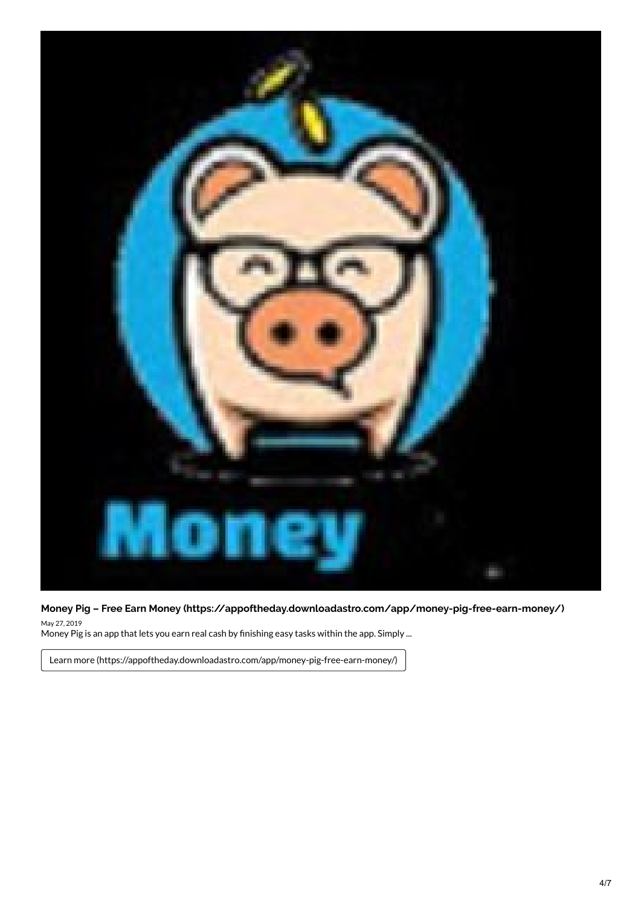

**Money Pig – Free Earn Money [\(https://appoftheday.downloadastro.com/app/money-pig-free-earn-money/\)](https://appoftheday.downloadastro.com/app/money-pig-free-earn-money/)**

May 27, 2019 Money Pig is an app that lets you earn real cash by finishing easy tasks within the app. Simply ...

Learn more [\(https://appoftheday.downloadastro.com/app/money-pig-free-earn-money/\)](https://appoftheday.downloadastro.com/app/money-pig-free-earn-money/)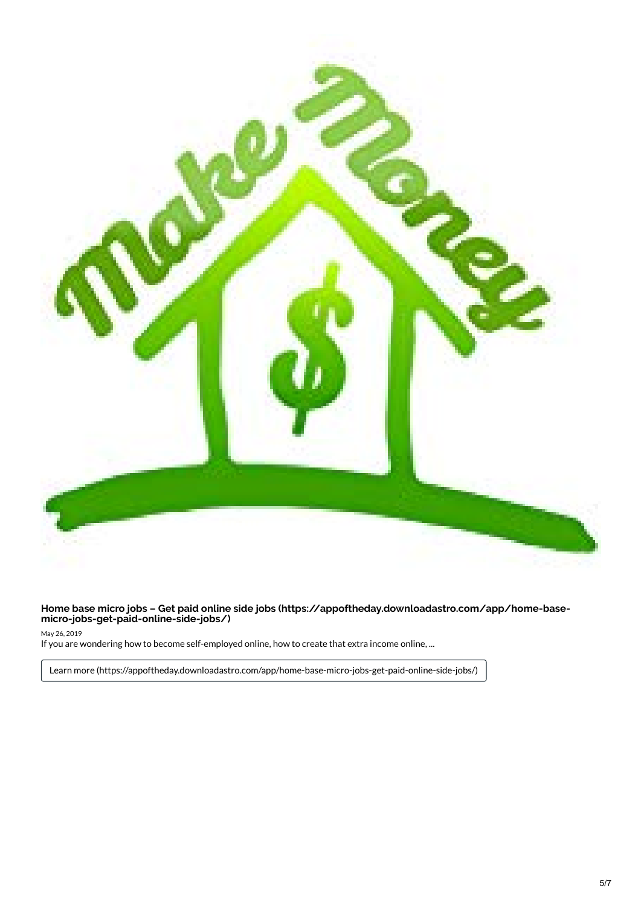

**Home base micro jobs – Get paid online side jobs [\(https://appoftheday.downloadastro.com/app/home-base](https://appoftheday.downloadastro.com/app/home-base-micro-jobs-get-paid-online-side-jobs/) micro-jobs-get-paid-online-side-jobs/)**

May 26, 2019

If you are wondering how to become self-employed online, how to create that extra income online, ...

Learn more [\(https://appoftheday.downloadastro.com/app/home-base-micro-jobs-get-paid-online-side-jobs/\)](https://appoftheday.downloadastro.com/app/home-base-micro-jobs-get-paid-online-side-jobs/)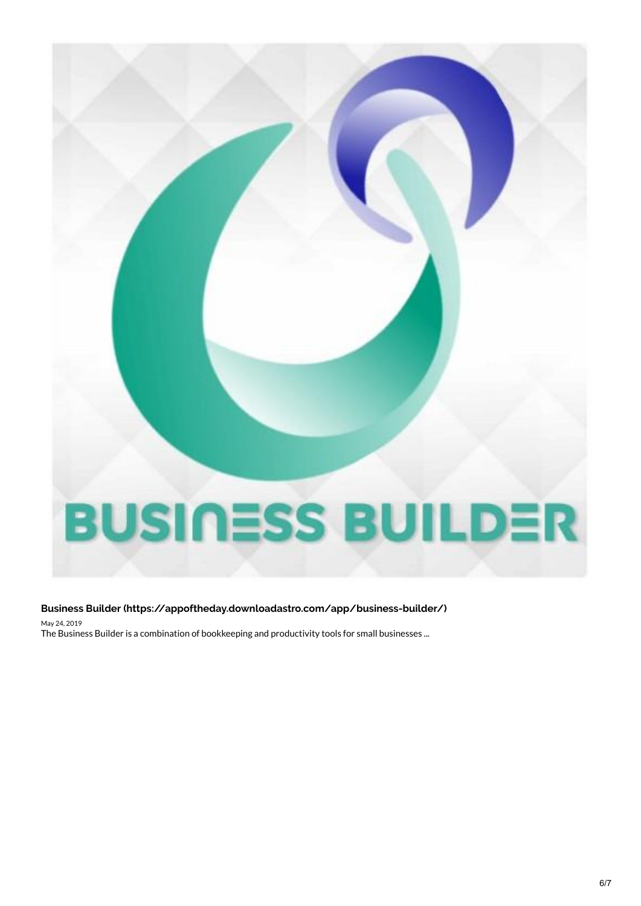

#### **Business Builder [\(https://appoftheday.downloadastro.com/app/business-builder/\)](https://appoftheday.downloadastro.com/app/business-builder/)** May 24, 2019

The Business Builder is a combination of bookkeeping and productivity tools for small businesses ...